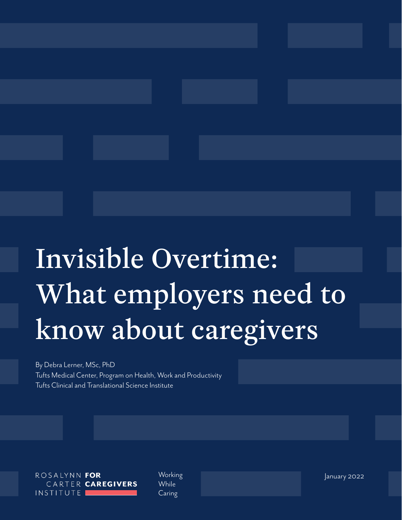# Invisible Overtime: What employers need to know about caregivers

By Debra Lerner, MSc, PhD Tufts Medical Center, Program on Health, Work and Productivity Tufts Clinical and Translational Science Institute

ROSALYNN FOR CARTER CAREGIVERS INSTITUTE I

**While** Caring

Working January 2022 **Advisor Community Community Properties**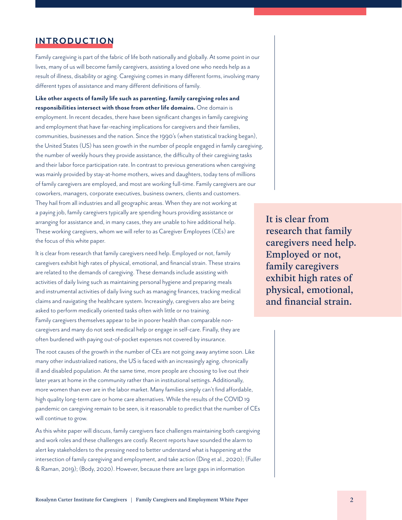## **INTRODUCTION**

Family caregiving is part of the fabric of life both nationally and globally. At some point in our lives, many of us will become family caregivers, assisting a loved one who needs help as a result of illness, disability or aging. Caregiving comes in many different forms, involving many different types of assistance and many different definitions of family.

**Like other aspects of family life such as parenting, family caregiving roles and responsibilities intersect with those from other life domains.** One domain is employment. In recent decades, there have been significant changes in family caregiving and employment that have far-reaching implications for caregivers and their families, communities, businesses and the nation. Since the 1990's (when statistical tracking began), the United States (US) has seen growth in the number of people engaged in family caregiving, the number of weekly hours they provide assistance, the difficulty of their caregiving tasks and their labor force participation rate. In contrast to previous generations when caregiving was mainly provided by stay-at-home mothers, wives and daughters, today tens of millions of family caregivers are employed, and most are working full-time. Family caregivers are our coworkers, managers, corporate executives, business owners, clients and customers. They hail from all industries and all geographic areas. When they are not working at a paying job, family caregivers typically are spending hours providing assistance or arranging for assistance and, in many cases, they are unable to hire additional help. These working caregivers, whom we will refer to as Caregiver Employees (CEs) are the focus of this white paper.

It is clear from research that family caregivers need help. Employed or not, family caregivers exhibit high rates of physical, emotional, and financial strain. These strains are related to the demands of caregiving. These demands include assisting with activities of daily living such as maintaining personal hygiene and preparing meals and instrumental activities of daily living such as managing finances, tracking medical claims and navigating the healthcare system. Increasingly, caregivers also are being asked to perform medically oriented tasks often with little or no training. Family caregivers themselves appear to be in poorer health than comparable non-

caregivers and many do not seek medical help or engage in self-care. Finally, they are often burdened with paying out-of-pocket expenses not covered by insurance.

The root causes of the growth in the number of CEs are not going away anytime soon. Like many other industrialized nations, the US is faced with an increasingly aging, chronically ill and disabled population. At the same time, more people are choosing to live out their later years at home in the community rather than in institutional settings. Additionally, more women than ever are in the labor market. Many families simply can't find affordable, high quality long-term care or home care alternatives. While the results of the COVID 19 pandemic on caregiving remain to be seen, is it reasonable to predict that the number of CEs will continue to grow.

As this white paper will discuss, family caregivers face challenges maintaining both caregiving and work roles and these challenges are costly. Recent reports have sounded the alarm to alert key stakeholders to the pressing need to better understand what is happening at the intersection of family caregiving and employment, and take action (Ding et al., 2020); (Fuller & Raman, 2019); (Body, 2020). However, because there are large gaps in information

It is clear from research that family caregivers need help. Employed or not, family caregivers exhibit high rates of physical, emotional, and financial strain.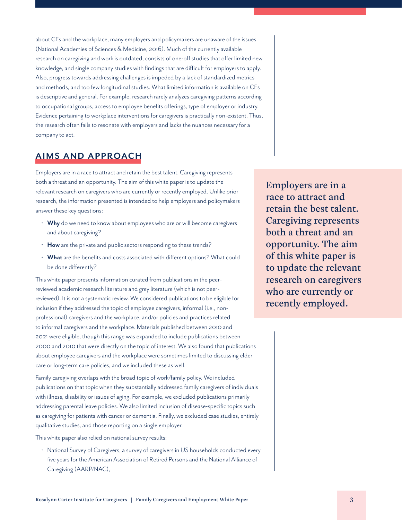about CEs and the workplace, many employers and policymakers are unaware of the issues (National Academies of Sciences & Medicine, 2016). Much of the currently available research on caregiving and work is outdated, consists of one-off studies that offer limited new knowledge, and single company studies with findings that are difficult for employers to apply. Also, progress towards addressing challenges is impeded by a lack of standardized metrics and methods, and too few longitudinal studies. What limited information is available on CEs is descriptive and general. For example, research rarely analyzes caregiving patterns according to occupational groups, access to employee benefits offerings, type of employer or industry. Evidence pertaining to workplace interventions for caregivers is practically non-existent. Thus, the research often fails to resonate with employers and lacks the nuances necessary for a company to act.

# **AIMS AND APPROACH**

Employers are in a race to attract and retain the best talent. Caregiving represents both a threat and an opportunity. The aim of this white paper is to update the relevant research on caregivers who are currently or recently employed. Unlike prior research, the information presented is intended to help employers and policymakers answer these key questions:

- **Why** do we need to know about employees who are or will become caregivers and about caregiving?
- **How** are the private and public sectors responding to these trends?
- **What** are the benefits and costs associated with different options? What could be done differently?

This white paper presents information curated from publications in the peerreviewed academic research literature and grey literature (which is not peerreviewed). It is not a systematic review. We considered publications to be eligible for inclusion if they addressed the topic of employee caregivers, informal (i.e., nonprofessional) caregivers and the workplace, and/or policies and practices related to informal caregivers and the workplace. Materials published between 2010 and 2021 were eligible, though this range was expanded to include publications between 2000 and 2010 that were directly on the topic of interest. We also found that publications about employee caregivers and the workplace were sometimes limited to discussing elder care or long-term care policies, and we included these as well.

Family caregiving overlaps with the broad topic of work/family policy. We included publications on that topic when they substantially addressed family caregivers of individuals with illness, disability or issues of aging. For example, we excluded publications primarily addressing parental leave policies. We also limited inclusion of disease-specific topics such as caregiving for patients with cancer or dementia. Finally, we excluded case studies, entirely qualitative studies, and those reporting on a single employer.

This white paper also relied on national survey results:

• National Survey of Caregivers, a survey of caregivers in US households conducted every five years for the American Association of Retired Persons and the National Alliance of Caregiving (AARP/NAC),

Employers are in a race to attract and retain the best talent. Caregiving represents both a threat and an opportunity. The aim of this white paper is to update the relevant research on caregivers who are currently or recently employed.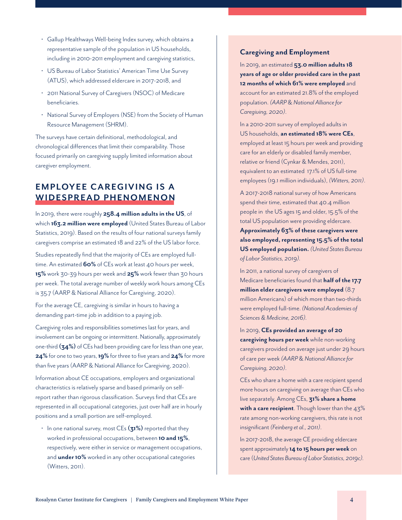- Gallup Healthways Well-being Index survey, which obtains a representative sample of the population in US households, including in 2010-2011 employment and caregiving statistics,
- US Bureau of Labor Statistics' American Time Use Survey (ATUS), which addressed eldercare in 2017-2018, and
- 2011 National Survey of Caregivers (NSOC) of Medicare beneficiaries.
- National Survey of Employers (NSE) from the Society of Human Resource Management (SHRM).

The surveys have certain definitional, methodological, and chronological differences that limit their comparability. Those focused primarily on caregiving supply limited information about caregiver employment.

# **EMPLOYEE CAREGIVING IS A WIDESPREAD PHENOMENON**

In 2019, there were roughly **258.4 million adults in the US**, of which **163.2 million were employed** (United States Bureau of Labor Statistics, 2019). Based on the results of four national surveys family caregivers comprise an estimated 18 and 22% of the US labor force.

Studies repeatedly find that the majority of CEs are employed fulltime. An estimated **60%** of CEs work at least 40 hours per week, **15%** work 30-39 hours per week and **25%** work fewer than 30 hours per week. The total average number of weekly work hours among CEs is 35.7 (AARP & National Alliance for Caregiving, 2020).

For the average CE, caregiving is similar in hours to having a demanding part-time job in addition to a paying job.

Caregiving roles and responsibilities sometimes last for years, and involvement can be ongoing or intermittent. Nationally, approximately one-third **(34%)** of CEs had been providing care for less than one year, **24%** for one to two years, **19%** for three to five years and **24%** for more than five years (AARP & National Alliance for Caregiving, 2020).

Information about CE occupations, employers and organizational characteristics is relatively sparse and based primarily on selfreport rather than rigorous classification. Surveys find that CEs are represented in all occupational categories, just over half are in hourly positions and a small portion are self-employed.

• In one national survey, most CEs **(31%)** reported that they worked in professional occupations, between **10 and 15%**, respectively, were either in service or management occupations, and **under 10%** worked in any other occupational categories (Witters, 2011).

#### **Caregiving and Employment**

In 2019, an estimated **53.0 million adults 18 years of age or older provided care in the past 12 months of which 61% were employed** and account for an estimated 21.8% of the employed population. *(AARP* & *National Alliance for Caregiving, 2020)*.

In a 2010-2011 survey of employed adults in US households, **an estimated 18% were CEs**, employed at least 15 hours per week and providing care for an elderly or disabled family member, relative or friend (Cynkar & Mendes, 2011), equivalent to an estimated 17.1% of US full-time employees (19.1 million individuals), *(Witters, 2011)*.

A 2017-2018 national survey of how Americans spend their time, estimated that 40.4 million people in the US ages 15 and older, 15.5% of the total US population were providing eldercare. **Approximately 63% of these caregivers were also employed, representing 15.5% of the total US employed population.** *(United States Bureau of Labor Statistics, 2019).*

In 2011, a national survey of caregivers of Medicare beneficiaries found that **half of the 17.7 million elder caregivers were employed** (8.7 million Americans) of which more than two-thirds were employed full-time. *(National Academies of Sciences & Medicine, 2016).*

In 2019, **CEs provided an average of 20 caregiving hours per week** while non-working caregivers provided on average just under 29 hours of care per week *(AARP* & *National Alliance for Caregiving, 2020)*.

CEs who share a home with a care recipient spend more hours on caregiving on average than CEs who live separately. Among CEs, **31% share a home with a care recipient**. Though lower than the 43% rate among non-working caregivers, this rate is not insignificant *(Feinberg et al., 2011)*.

In 2017-2018, the average CE providing eldercare spent approximately **14 to 15 hours per week** on care (*United States Bureau of Labor Statistics, 2019c).*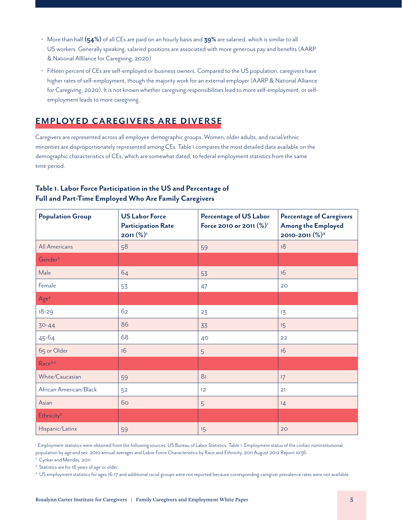- More than half **(54%)** of all CEs are paid on an hourly basis and **39%** are salaried, which is similar to all US workers. Generally speaking, salaried positions are associated with more generous pay and benefits (AARP & National Allliance for Caregiving, 2020)
- Fifteen percent of CEs are self-employed or business owners. Compared to the US population, caregivers have higher rates of self-employment, though the majority work for an external employer (AARP & National Alliance for Caregiving, 2020). It is not known whether caregiving responsibilities lead to more self-employment, or selfemployment leads to more caregiving.

# **EMPLOYED CAREGIVERS ARE DIVERSE**

Caregivers are represented across all employee demographic groups. Women, older adults, and racial/ethnic minorities are disproportionately represented among CEs. Table 1 compares the most detailed data available on the demographic characteristics of CEs, which are somewhat dated, to federal employment statistics from the same time period.

| <b>Population Group</b> | <b>US Labor Force</b><br><b>Participation Rate</b><br>$2011\ (\%)$ <sup>1</sup> | <b>Percentage of US Labor</b><br>Force 2010 or 2011 (%) <sup>1</sup> | <b>Percentage of Caregivers</b><br><b>Among the Employed</b><br>2010-2011 (%) <sup>2</sup> |
|-------------------------|---------------------------------------------------------------------------------|----------------------------------------------------------------------|--------------------------------------------------------------------------------------------|
| <b>All Americans</b>    | 58                                                                              | 59                                                                   | 18                                                                                         |
| Gender <sup>3</sup>     |                                                                                 |                                                                      |                                                                                            |
| Male                    | 64                                                                              | 53                                                                   | 16                                                                                         |
| Female                  | 53                                                                              | 47                                                                   | 20                                                                                         |
| Age <sup>4</sup>        |                                                                                 |                                                                      |                                                                                            |
| $18 - 29$               | 62                                                                              | 23                                                                   | 13                                                                                         |
| $30 - 44$               | 86                                                                              | 33                                                                   | 15                                                                                         |
| 45-64                   | 68                                                                              | 40                                                                   | 22                                                                                         |
| 65 or Older             | 16                                                                              | 5                                                                    | 16                                                                                         |
| Race <sup>3,4</sup>     |                                                                                 |                                                                      |                                                                                            |
| White/Caucasian         | 59                                                                              | 81                                                                   | 17                                                                                         |
| African American/Black  | 52                                                                              | 12                                                                   | 21                                                                                         |
| Asian                   | 60                                                                              | 5                                                                    | 14                                                                                         |
| Ethnicity <sup>3</sup>  |                                                                                 |                                                                      |                                                                                            |
| Hispanic/Latinx         | 59                                                                              | 15                                                                   | 20                                                                                         |

## **Table 1. Labor Force Participation in the US and Percentage of Full and Part-Time Employed Who Are Family Caregivers**

1 Employment statistics were obtained from the following sources: US Bureau of Labor Statistics. Table 1. Employment status of the civilian noninstitutional population by age and sex, 2010 annual averages and Labor Force Characteristics by Race and Ethnicity, 2011 August 2012 Report 1036.

<sup>2</sup> Cynkar and Mendes, 2011.

<sup>3</sup> Statistics are for 16 years of age or older.

4 US employment statistics for ages 16-17 and additional racial groups were not reported because corresponding caregiver prevalence rates were not available.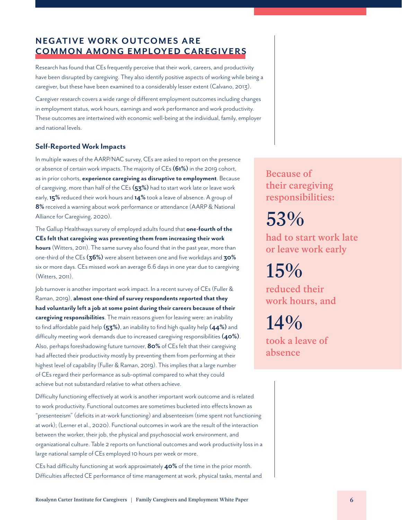# **NEGATIVE WORK OUTCOMES ARE COMMON AMONG EMPLOYED CAREGIVERS**

Research has found that CEs frequently perceive that their work, careers, and productivity have been disrupted by caregiving. They also identify positive aspects of working while being a caregiver, but these have been examined to a considerably lesser extent (Calvano, 2013).

Caregiver research covers a wide range of different employment outcomes including changes in employment status, work hours, earnings and work performance and work productivity. These outcomes are intertwined with economic well-being at the individual, family, employer and national levels.

#### **Self-Reported Work Impacts**

In multiple waves of the AARP/NAC survey, CEs are asked to report on the presence or absence of certain work impacts. The majority of CEs **(61%)** in the 2019 cohort, as in prior cohorts, **experience caregiving as disruptive to employment**. Because of caregiving, more than half of the CEs **(53%)** had to start work late or leave work early, **15%** reduced their work hours and **14%** took a leave of absence. A group of **8%** received a warning about work performance or attendance (AARP & National Alliance for Caregiving, 2020).

The Gallup Healthways survey of employed adults found that **one-fourth of the CEs felt that caregiving was preventing them from increasing their work hours** (Witters, 2011). The same survey also found that in the past year, more than one-third of the CEs **(36%)** were absent between one and five workdays and **30%** six or more days. CEs missed work an average 6.6 days in one year due to caregiving (Witters, 2011).

Job turnover is another important work impact. In a recent survey of CEs (Fuller & Raman, 2019), **almost one-third of survey respondents reported that they had voluntarily left a job at some point during their careers because of their caregiving responsibilities**. The main reasons given for leaving were: an inability to find affordable paid help **(53%)**, an inability to find high quality help **(44%)** and difficulty meeting work demands due to increased caregiving responsibilities **(40%)**. Also, perhaps foreshadowing future turnover, **80%** of CEs felt that their caregiving had affected their productivity mostly by preventing them from performing at their highest level of capability (Fuller & Raman, 2019). This implies that a large number of CEs regard their performance as sub-optimal compared to what they could achieve but not substandard relative to what others achieve.

Difficulty functioning effectively at work is another important work outcome and is related to work productivity. Functional outcomes are sometimes bucketed into effects known as "presenteeism" (deficits in at-work functioning) and absenteeism (time spent not functioning at work); (Lerner et al., 2020). Functional outcomes in work are the result of the interaction between the worker, their job, the physical and psychosocial work environment, and organizational culture. Table 2 reports on functional outcomes and work productivity loss in a large national sample of CEs employed 10 hours per week or more.

CEs had difficulty functioning at work approximately **40%** of the time in the prior month. Difficulties affected CE performance of time management at work, physical tasks, mental and

Because of their caregiving responsibilities:

53%

had to start work late or leave work early

15%

reduced their work hours, and

14%

took a leave of absence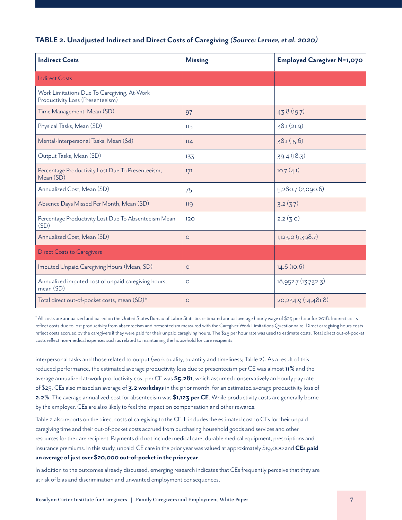#### **TABLE 2. Unadjusted Indirect and Direct Costs of Caregiving** *(Source: Lerner, et al. 2020)*

| <b>Indirect Costs</b>                                                           | <b>Missing</b> | <b>Employed Caregiver N=1,070</b> |
|---------------------------------------------------------------------------------|----------------|-----------------------------------|
| <b>Indirect Costs</b>                                                           |                |                                   |
| Work Limitations Due To Caregiving, At-Work<br>Productivity Loss (Presenteeism) |                |                                   |
| Time Management, Mean (SD)                                                      | 97             | 43.8(19.7)                        |
| Physical Tasks, Mean (SD)                                                       | 115            | 38.1(21.9)                        |
| Mental-Interpersonal Tasks, Mean (Sd)                                           | 114            | 38.1(15.6)                        |
| Output Tasks, Mean (SD)                                                         | 133            | 39.4 (18.3)                       |
| Percentage Productivity Lost Due To Presenteeism,<br>Mean (SD)                  | 171            | 10.7(4.1)                         |
| Annualized Cost, Mean (SD)                                                      | 75             | 5,280.7 (2,090.6)                 |
| Absence Days Missed Per Month, Mean (SD)                                        | 119            | 3.2(3.7)                          |
| Percentage Productivity Lost Due To Absenteeism Mean<br>(SD)                    | 120            | 2.2 (3.0)                         |
| Annualized Cost, Mean (SD)                                                      | $\circ$        | 1,123.0(1,398.7)                  |
| <b>Direct Costs to Caregivers</b>                                               |                |                                   |
| Imputed Unpaid Caregiving Hours (Mean, SD)                                      | $\circ$        | 14.6(10.6)                        |
| Annualized imputed cost of unpaid caregiving hours,<br>mean (SD)                | $\circ$        | 18,952.7 (13,732.3)               |
| Total direct out-of-pocket costs, mean (SD)*                                    | $\circ$        | 20, 234.9 (14, 481.8)             |

\* All costs are annualized and based on the United States Bureau of Labor Statistics estimated annual average hourly wage of \$25 per hour for 2018. Indirect costs reflect costs due to lost productivity from absenteeism and presenteeism measured with the Caregiver Work Limitations Questionnaire. Direct caregiving hours costs reflect costs accrued by the caregivers if they were paid for their unpaid caregiving hours. The \$25 per hour rate was used to estimate costs. Total direct out-of-pocket costs reflect non-medical expenses such as related to maintaining the household for care recipients.

interpersonal tasks and those related to output (work quality, quantity and timeliness; Table 2). As a result of this reduced performance, the estimated average productivity loss due to presenteeism per CE was almost **11%** and the average annualized at-work productivity cost per CE was **\$5,281**, which assumed conservatively an hourly pay rate of \$25. CEs also missed an average of **3.2 workdays** in the prior month, for an estimated average productivity loss of **2.2%**. The average annualized cost for absenteeism was **\$1,123 per CE**. While productivity costs are generally borne by the employer, CEs are also likely to feel the impact on compensation and other rewards.

Table 2 also reports on the direct costs of caregiving to the CE. It includes the estimated cost to CEs for their unpaid caregiving time and their out-of-pocket costs accrued from purchasing household goods and services and other resources for the care recipient. Payments did not include medical care, durable medical equipment, prescriptions and insurance premiums. In this study, unpaid CE care in the prior year was valued at approximately \$19,000 and **CEs paid an average of just over \$20,000 out-of-pocket in the prior year**.

In addition to the outcomes already discussed, emerging research indicates that CEs frequently perceive that they are at risk of bias and discrimination and unwanted employment consequences.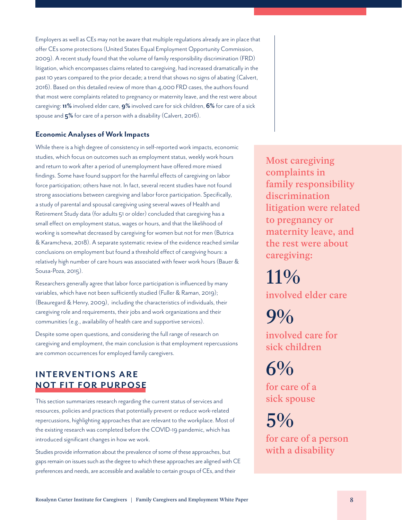Employers as well as CEs may not be aware that multiple regulations already are in place that offer CEs some protections (United States Equal Employment Opportunity Commission, 2009). A recent study found that the volume of family responsibility discrimination (FRD) litigation, which encompasses claims related to caregiving, had increased dramatically in the past 10 years compared to the prior decade; a trend that shows no signs of abating (Calvert, 2016). Based on this detailed review of more than 4,000 FRD cases, the authors found that most were complaints related to pregnancy or maternity leave, and the rest were about caregiving: **11%** involved elder care, **9%** involved care for sick children, **6%** for care of a sick spouse and **5%** for care of a person with a disability (Calvert, 2016).

#### **Economic Analyses of Work Impacts**

While there is a high degree of consistency in self-reported work impacts, economic studies, which focus on outcomes such as employment status, weekly work hours and return to work after a period of unemployment have offered more mixed findings. Some have found support for the harmful effects of caregiving on labor force participation; others have not. In fact, several recent studies have not found strong associations between caregiving and labor force participation. Specifically, a study of parental and spousal caregiving using several waves of Health and Retirement Study data (for adults 51 or older) concluded that caregiving has a small effect on employment status, wages or hours, and that the likelihood of working is somewhat decreased by caregiving for women but not for men (Butrica & Karamcheva, 2018). A separate systematic review of the evidence reached similar conclusions on employment but found a threshold effect of caregiving hours: a relatively high number of care hours was associated with fewer work hours (Bauer & Sousa-Poza, 2015).

Researchers generally agree that labor force participation is influenced by many variables, which have not been sufficiently studied (Fuller & Raman, 2019); (Beauregard & Henry, 2009), including the characteristics of individuals, their caregiving role and requirements, their jobs and work organizations and their communities (e.g., availability of health care and supportive services).

Despite some open questions, and considering the full range of research on caregiving and employment, the main conclusion is that employment repercussions are common occurrences for employed family caregivers.

# **INTERVENTIONS ARE NOT FIT FOR PURPOSE**

This section summarizes research regarding the current status of services and resources, policies and practices that potentially prevent or reduce work-related repercussions, highlighting approaches that are relevant to the workplace. Most of the existing research was completed before the COVID-19 pandemic, which has introduced significant changes in how we work.

Studies provide information about the prevalence of some of these approaches, but gaps remain on issues such as the degree to which these approaches are aligned with CE preferences and needs, are accessible and available to certain groups of CEs, and their

Most caregiving complaints in family responsibility discrimination litigation were related to pregnancy or maternity leave, and the rest were about caregiving:

11% involved elder care

9% involved care for sick children

 $6%$ 

for care of a sick spouse

 $5\%$ for care of a person with a disability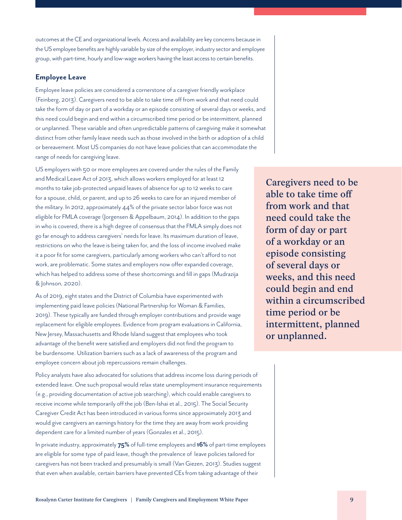outcomes at the CE and organizational levels. Access and availability are key concerns because in the US employee benefits are highly variable by size of the employer, industry sector and employee group, with part-time, hourly and low-wage workers having the least access to certain benefits.

#### **Employee Leave**

Employee leave policies are considered a cornerstone of a caregiver friendly workplace (Feinberg, 2013). Caregivers need to be able to take time off from work and that need could take the form of day or part of a workday or an episode consisting of several days or weeks, and this need could begin and end within a circumscribed time period or be intermittent, planned or unplanned. These variable and often unpredictable patterns of caregiving make it somewhat distinct from other family leave needs such as those involved in the birth or adoption of a child or bereavement. Most US companies do not have leave policies that can accommodate the range of needs for caregiving leave.

US employers with 50 or more employees are covered under the rules of the Family and Medical Leave Act of 2013, which allows workers employed for at least 12 months to take job-protected unpaid leaves of absence for up to 12 weeks to care for a spouse, child, or parent, and up to 26 weeks to care for an injured member of the military. In 2012, approximately 44% of the private sector labor force was not eligible for FMLA coverage (Jorgensen & Appelbaum, 2014). In addition to the gaps in who is covered, there is a high degree of consensus that the FMLA simply does not go far enough to address caregivers' needs for leave. Its maximum duration of leave, restrictions on who the leave is being taken for, and the loss of income involved make it a poor fit for some caregivers, particularly among workers who can't afford to not work, are problematic. Some states and employers now offer expanded coverage, which has helped to address some of these shortcomings and fill in gaps (Mudrazija & Johnson, 2020).

As of 2019, eight states and the District of Columbia have experimented with implementing paid leave policies (National Partnership for Woman & Families, 2019). These typically are funded through employer contributions and provide wage replacement for eligible employees. Evidence from program evaluations in California, New Jersey, Massachusetts and Rhode Island suggest that employees who took advantage of the benefit were satisfied and employers did not find the program to be burdensome. Utilization barriers such as a lack of awareness of the program and employee concern about job repercussions remain challenges.

Policy analysts have also advocated for solutions that address income loss during periods of extended leave. One such proposal would relax state unemployment insurance requirements (e.g., providing documentation of active job searching), which could enable caregivers to receive income while temporarily off the job (Ben-Ishai et al., 2015). The Social Security Caregiver Credit Act has been introduced in various forms since approximately 2013 and would give caregivers an earnings history for the time they are away from work providing dependent care for a limited number of years (Gonzales et al., 2015).

In private industry, approximately **75%** of full-time employees and **16%** of part-time employees are eligible for some type of paid leave, though the prevalence of leave policies tailored for caregivers has not been tracked and presumably is small (Van Giezen, 2013). Studies suggest that even when available, certain barriers have prevented CEs from taking advantage of their

Caregivers need to be able to take time off from work and that need could take the form of day or part of a workday or an episode consisting of several days or weeks, and this need could begin and end within a circumscribed time period or be intermittent, planned or unplanned.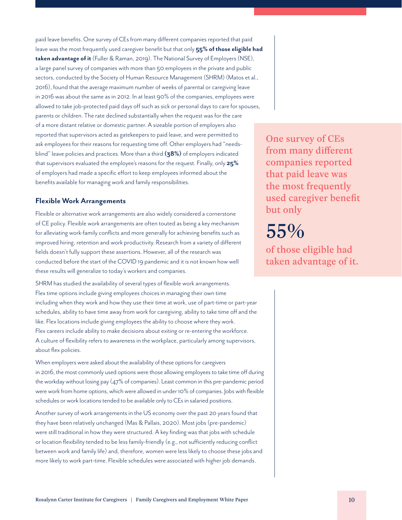paid leave benefits. One survey of CEs from many different companies reported that paid leave was the most frequently used caregiver benefit but that only **55% of those eligible had taken advantage of it** (Fuller & Raman, 2019). The National Survey of Employers (NSE), a large panel survey of companies with more than 50 employees in the private and public sectors, conducted by the Society of Human Resource Management (SHRM) (Matos et al., 2016), found that the average maximum number of weeks of parental or caregiving leave in 2016 was about the same as in 2012. In at least 90% of the companies, employees were allowed to take job-protected paid days off such as sick or personal days to care for spouses, parents or children. The rate declined substantially when the request was for the care of a more distant relative or domestic partner. A sizeable portion of employers also reported that supervisors acted as gatekeepers to paid leave, and were permitted to ask employees for their reasons for requesting time off. Other employers had "needsblind" leave policies and practices. More than a third **(38%)** of employers indicated that supervisors evaluated the employee's reasons for the request. Finally, only **25%** of employers had made a specific effort to keep employees informed about the benefits available for managing work and family responsibilities.

#### **Flexible Work Arrangements**

Flexible or alternative work arrangements are also widely considered a cornerstone of CE policy. Flexible work arrangements are often touted as being a key mechanism for alleviating work-family conflicts and more generally for achieving benefits such as improved hiring, retention and work productivity. Research from a variety of different fields doesn't fully support these assertions. However, all of the research was conducted before the start of the COVID 19 pandemic and it is not known how well these results will generalize to today's workers and companies.

SHRM has studied the availability of several types of flexible work arrangements. Flex time options include giving employees choices in managing their own time including when they work and how they use their time at work, use of part-time or part-year schedules, ability to have time away from work for caregiving, ability to take time off and the like. Flex locations include giving employees the ability to choose where they work. Flex careers include ability to make decisions about exiting or re-entering the workforce. A culture of flexibility refers to awareness in the workplace, particularly among supervisors, about flex policies.

When employers were asked about the availability of these options for caregivers in 2016, the most commonly used options were those allowing employees to take time off during the workday without losing pay (47% of companies). Least common in this pre-pandemic period were work from home options, which were allowed in under 10% of companies. Jobs with flexible schedules or work locations tended to be available only to CEs in salaried positions.

Another survey of work arrangements in the US economy over the past 20 years found that they have been relatively unchanged (Mas & Pallais, 2020). Most jobs (pre-pandemic) were still traditional in how they were structured. A key finding was that jobs with schedule or location flexibility tended to be less family-friendly (e.g., not sufficiently reducing conflict between work and family life) and, therefore, women were less likely to choose these jobs and more likely to work part-time. Flexible schedules were associated with higher job demands.

One survey of CEs from many different companies reported that paid leave was the most frequently used caregiver benefit but only

# 55%

of those eligible had taken advantage of it.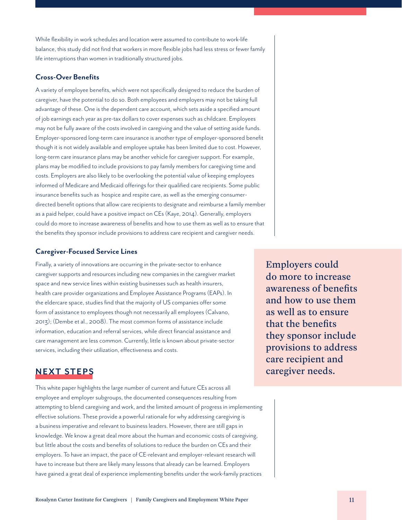Rosalynn Carter Institute for Caregivers | Family Caregivers and Employment White Paper 11

While flexibility in work schedules and location were assumed to contribute to work-life balance, this study did not find that workers in more flexible jobs had less stress or fewer family life interruptions than women in traditionally structured jobs.

#### **Cross-Over Benefits**

A variety of employee benefits, which were not specifically designed to reduce the burden of caregiver, have the potential to do so. Both employees and employers may not be taking full advantage of these. One is the dependent care account, which sets aside a specified amount of job earnings each year as pre-tax dollars to cover expenses such as childcare. Employees may not be fully aware of the costs involved in caregiving and the value of setting aside funds. Employer-sponsored long-term care insurance is another type of employer-sponsored benefit though it is not widely available and employee uptake has been limited due to cost. However, long-term care insurance plans may be another vehicle for caregiver support. For example, plans may be modified to include provisions to pay family members for caregiving time and costs. Employers are also likely to be overlooking the potential value of keeping employees informed of Medicare and Medicaid offerings for their qualified care recipients. Some public insurance benefits such as hospice and respite care, as well as the emerging consumerdirected benefit options that allow care recipients to designate and reimburse a family member as a paid helper, could have a positive impact on CEs (Kaye, 2014). Generally, employers could do more to increase awareness of benefits and how to use them as well as to ensure that the benefits they sponsor include provisions to address care recipient and caregiver needs.

#### **Caregiver-Focused Service Lines**

Finally, a variety of innovations are occurring in the private-sector to enhance caregiver supports and resources including new companies in the caregiver market space and new service lines within existing businesses such as health insurers, health care provider organizations and Employee Assistance Programs (EAPs). In the eldercare space, studies find that the majority of US companies offer some form of assistance to employees though not necessarily all employees (Calvano, 2013); (Dembe et al., 2008). The most common forms of assistance include information, education and referral services, while direct financial assistance and care management are less common. Currently, little is known about private-sector services, including their utilization, effectiveness and costs.

# **NEXT STEPS**

This white paper highlights the large number of current and future CEs across all employee and employer subgroups, the documented consequences resulting from attempting to blend caregiving and work, and the limited amount of progress in implementing effective solutions. These provide a powerful rationale for why addressing caregiving is a business imperative and relevant to business leaders. However, there are still gaps in knowledge. We know a great deal more about the human and economic costs of caregiving, but little about the costs and benefits of solutions to reduce the burden on CEs and their employers. To have an impact, the pace of CE-relevant and employer-relevant research will have to increase but there are likely many lessons that already can be learned. Employers have gained a great deal of experience implementing benefits under the work-family practices

Employers could do more to increase awareness of benefits and how to use them as well as to ensure that the benefits they sponsor include provisions to address care recipient and caregiver needs.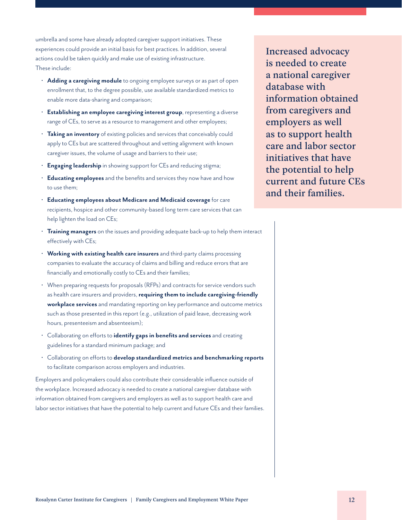umbrella and some have already adopted caregiver support initiatives. These experiences could provide an initial basis for best practices. In addition, several actions could be taken quickly and make use of existing infrastructure. These include:

- **Adding a caregiving module** to ongoing employee surveys or as part of open enrollment that, to the degree possible, use available standardized metrics to enable more data-sharing and comparison;
- **Establishing an employee caregiving interest group**, representing a diverse range of CEs, to serve as a resource to management and other employees;
- **Taking an inventory** of existing policies and services that conceivably could apply to CEs but are scattered throughout and vetting alignment with known caregiver issues, the volume of usage and barriers to their use;
- **Engaging leadership** in showing support for CEs and reducing stigma;
- **Educating employees** and the benefits and services they now have and how to use them;
- **Educating employees about Medicare and Medicaid coverage** for care recipients, hospice and other community-based long term care services that can help lighten the load on CEs;
- **Training managers** on the issues and providing adequate back-up to help them interact effectively with CEs;
- **Working with existing health care insurers** and third-party claims processing companies to evaluate the accuracy of claims and billing and reduce errors that are financially and emotionally costly to CEs and their families;
- When preparing requests for proposals (RFPs) and contracts for service vendors such as health care insurers and providers, **requiring them to include caregiving-friendly workplace services** and mandating reporting on key performance and outcome metrics such as those presented in this report (e.g., utilization of paid leave, decreasing work hours, presenteeism and absenteeism);
- Collaborating on efforts to **identify gaps in benefits and services** and creating guidelines for a standard minimum package; and
- Collaborating on efforts to **develop standardized metrics and benchmarking reports** to facilitate comparison across employers and industries.

Employers and policymakers could also contribute their considerable influence outside of the workplace. Increased advocacy is needed to create a national caregiver database with information obtained from caregivers and employers as well as to support health care and labor sector initiatives that have the potential to help current and future CEs and their families.

Increased advocacy is needed to create a national caregiver database with information obtained from caregivers and employers as well as to support health care and labor sector initiatives that have the potential to help current and future CEs and their families.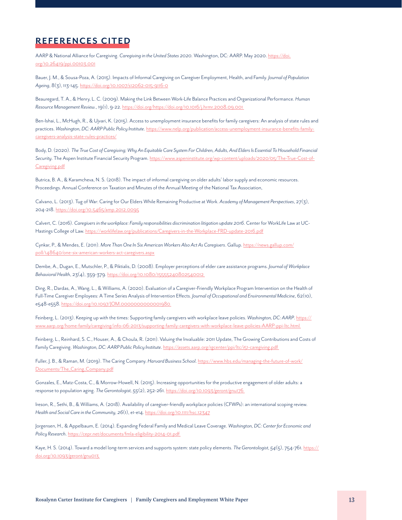# **REFERENCES CITED**

AARP & National Alliance for Caregiving. *Caregiving in the United States 2020.* Washington, DC: AARP. May 2020. [https://doi.](https://doi.org/10.26419/ppi.00103.001) [org/10.26419/ppi.00103.001](https://doi.org/10.26419/ppi.00103.001)

Bauer, J. M., & Sousa-Poza, A. (2015). Impacts of Informal Caregiving on Caregiver Employment, Health, and Family. *Journal of Population Ageing*, 8(3), 113-145. <https://doi.org/10.1007/s12062-015-9116-0>

Beauregard, T. A., & Henry, L. C. (2009). Making the Link Between Work-Life Balance Practices and Organizational Performance. *Human Resource Management Review.*, 19(1), 9-22. [https://doi.org/https://doi.org/10.1016/j.hrmr.2008.09.001](https://doi.org/https://doi.org/10.1016/j.hrmr.2008.09.001 ) 

Ben-Ishai, L., McHugh, R., & Ujvari, K. (2015). Access to unemployment insurance benefits for family caregivers: An analysis of state rules and practices. *Washington, DC: AARP Public Policy Institute*. [https://www.nelp.org/publication/access-unemployment-insurance-benefits-family](https://www.nelp.org/publication/access-unemployment-insurance-benefits-family-caregivers-analysis-s)[caregivers-analysis-state-rules-practices/](https://www.nelp.org/publication/access-unemployment-insurance-benefits-family-caregivers-analysis-s)

Body, D. (2020). *The True Cost of Caregiving; Why An Equitable Care System For Children, Adults, And Elders Is Essential To Household Financial Security*. The Aspen Institute Financial Security Program. [https://www.aspeninstitute.org/wp-content/uploads/2020/05/The-True-Cost-of-](https://www.aspeninstitute.org/wp-content/uploads/2020/05/The-True-Cost-of-Caregiving.pdf)[Caregiving.pdf](https://www.aspeninstitute.org/wp-content/uploads/2020/05/The-True-Cost-of-Caregiving.pdf)

Butrica, B. A., & Karamcheva, N. S. (2018). The impact of informal caregiving on older adults' labor supply and economic resources. Proceedings. Annual Conference on Taxation and Minutes of the Annual Meeting of the National Tax Association,

Calvano, L. (2013). Tug of War: Caring for Our Elders While Remaining Productive at Work. *Academy of Management Perspectives*, 27(3), 204-218. <https://doi.org/10.5465/amp.2012.0095>

Calvert, C. (2016). *Caregivers in the workplace: Family responsibilities discrimination litigation update 2016*. Center for WorkLife Law at UC-Hastings College of Law.<https://worklifelaw.org/publications/Caregivers-in-the-Workplace-FRD-update-2016.pdf>

Cynkar, P., & Mendes, E. (2011). *More Than One In Six American Workers Also Act As Caregivers*. Gallup. [https://news.gallup.com/](https://news.gallup.com/poll/148640/one-six-american-workers-act-caregivers.aspx) [poll/148640/one-six-american-workers-act-caregivers.aspx](https://news.gallup.com/poll/148640/one-six-american-workers-act-caregivers.aspx)

Dembe, A., Dugan, E., Mutschler, P., & Piktialis, D. (2008). Employer perceptions of elder care assistance programs. *Journal of Workplace Behavioral Health*, 23(4), 359-379. [https://doi.org/10.1080/15555240802540012](https://doi.org/10.1080/15555240802540012 ) 

Ding, R., Dardas, A., Wang, L., & Williams, A. (2020). Evaluation of a Caregiver-Friendly Workplace Program Intervention on the Health of Full-Time Caregiver Employees: A Time Series Analysis of Intervention Effects. *Journal of Occupational and Environmental Medicine*, 62(10), e548-e558. [https://doi.org/10.1097/JOM.0000000000001980](https://doi.org/10.1097/JOM.0000000000001980 ) 

Feinberg, L. (2013). Keeping up with the times: Supporting family caregivers with workplace leave policies. *Washington, DC: AARP*. [https://](https://www.aarp.org/home-family/caregiving/info-06-2013/supporting-family-caregivers-with-workplace) [www.aarp.org/home-family/caregiving/info-06-2013/supporting-family-caregivers-with-workplace-leave-policies-AARP-ppi-ltc.html](https://www.aarp.org/home-family/caregiving/info-06-2013/supporting-family-caregivers-with-workplace) 

Feinberg, L., Reinhard, S. C., Houser, A., & Choula, R. (2011). Valuing the Invaluable: 2011 Update, The Growing Contributions and Costs of Family Caregiving. *Washington, DC: AARP Public Policy Institute*. [https://assets.aarp.org/rgcenter/ppi/ltc/i51-caregiving.pdf](https://assets.aarp.org/rgcenter/ppi/ltc/i51-caregiving.pdf ) 

Fuller, J. B., & Raman, M. (2019). The Caring Company. *Harvard Business School*. [https://www.hbs.edu/managing-the-future-of-work/](https://www.hbs.edu/managing-the-future-of-work/Documents/The_Caring_Company.pdf) [Documents/The\\_Caring\\_Company.pdf](https://www.hbs.edu/managing-the-future-of-work/Documents/The_Caring_Company.pdf)

Gonzales, E., Matz-Costa, C., & Morrow-Howell, N. (2015). Increasing opportunities for the productive engagement of older adults: a response to population aging. *The Gerontologist, 55*(2), 252-261. [https://doi.org/10.1093/geront/gnu176](https://doi.org/10.1093/geront/gnu176 ) 

Ireson, R., Sethi, B., & Williams, A. (2018). Availability of caregiver-friendly workplace policies (CFWPs): an international scoping review. *Health and Social Care in the Community, 26*(1), e1-e14.<https://doi.org/10.1111/hsc.12347>

Jorgensen, H., & Appelbaum, E. (2014). Expanding Federal Family and Medical Leave Coverage. *Washington, DC: Center for Economic and Policy Research*. [https://cepr.net/documents/fmla-eligibility-2014-01.pdf](https://cepr.net/documents/fmla-eligibility-2014-01.pdf ) 

Kaye, H. S. (2014). Toward a model long-term services and supports system: state policy elements. *The Gerontologist, 54*(5), 754-761. [https://](https://doi.org/10.1093/geront/gnu013 ) [doi.org/10.1093/geront/gnu013](https://doi.org/10.1093/geront/gnu013 )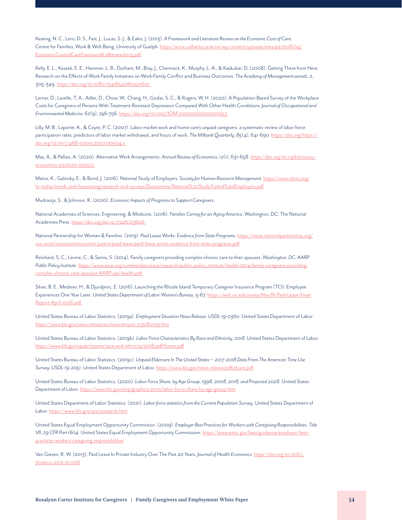Keating, N. C., Lero, D. S., Fast, J., Lucas, S. J., & Eales, J. (2013). *A Framework and Literature Review on the Economic Cost of Care*. Centre for Families, Work & Well-Being, University of Guelph. [https://acrre.ualberta.ca/acrre/wp-content/uploads/sites/49/2018/04/](https://acrre.ualberta.ca/acrre/wp-content/uploads/sites/49/2018/04/EconomicCostsofCareFrameworkLitR) [EconomicCostsofCareFrameworkLitReview2013.pdf](https://acrre.ualberta.ca/acrre/wp-content/uploads/sites/49/2018/04/EconomicCostsofCareFrameworkLitR) 

Kelly, E. L., Kossek, E. E., Hammer, L. B., Durham, M., Bray, J., Chermack, K., Murphy, L. A., & Kaskubar, D. (2008). Getting There from Here: Research on the Effects of Work-Family Initiatives on Work-Family Conflict and Business Outcomes. *The Academy of Management annals*, 2, 305-349. [https://doi.org/10.1080/19416520802211610](https://doi.org/10.1080/19416520802211610 ) 

Lerner, D., Lavelle, T. A., Adler, D., Chow, W., Chang, H., Godar, S. C., & Rogers, W. H. (2020). A Population-Based Survey of the Workplace Costs for Caregivers of Persons With Treatment-Resistant Depression Compared With Other Health Conditions. *Journal of Occupational and Environmental Medicine, 62*(9), 746-756. [https://doi.org/10.1097/JOM.0000000000001957](https://doi.org/10.1097/JOM.0000000000001957 ) 

Lilly, M. B., Laporte, A., & Coyte, P. C. (2007). Labor market work and home care's unpaid caregivers: a systematic review of labor force participation rates, predictors of labor market withdrawal, and hours of work. *The Milbank Quarterly, 85*(4), 641-690. [https://doi.org/https://](https://doi.org/https://doi.org/10.1111/j.1468-0009.2007.00504.x ) [doi.org/10.1111/j.1468-0009.2007.00504.x](https://doi.org/https://doi.org/10.1111/j.1468-0009.2007.00504.x ) 

Mas, A., & Pallais, A. (2020). Alternative Work Arrangements. *Annual Review of Economics, 12*(1), 631-658. [https://doi.org/10.1146/annurev](https://doi.org/10.1146/annurev-economics-022020-032512 )[economics-022020-032512](https://doi.org/10.1146/annurev-economics-022020-032512 ) 

Matos, K., Galinsky, E., & Bond, J. (2016). National Study of Employers. *Society for Human Resource Management*. [https://www.shrm.org/](https://www.shrm.org/hr-today/trends-and-forecasting/research-and-surveys/Documents/National%20Study) [hr-today/trends-and-forecasting/research-and-surveys/Documents/National%20Study%20of%20Employers.pdf](https://www.shrm.org/hr-today/trends-and-forecasting/research-and-surveys/Documents/National%20Study)

Mudrazija, S., & Johnson, R. (2020). *Economic Impacts of Programs to Support Caregivers.*

National Academies of Sciences, Engineering, & Medicine. (2016). *Families Caring for an Aging America*. Washington, DC: The National Academies Press. [https://doi.org/doi:10.17226/23606](https://doi.org/doi:10.17226/23606 ) 

National Partnership for Woman & Families. (2019). *Paid Leave Works: Evidence from State Programs*. [https://www.nationalpartnership.org/](https://www.nationalpartnership.org/our-work/resources/economic-justice/paid-leave/paid-leave-works-) [our-work/resources/economic-justice/paid-leave/paid-leave-works-evidence-from-state-programs.pdf](https://www.nationalpartnership.org/our-work/resources/economic-justice/paid-leave/paid-leave-works-)

Reinhard, S. C., Levine, C., & Samis, S. (2014). Family caregivers providing complex chronic care to their spouses. *Washington, DC: AARP Public Policy Institute*. [https://www.aarp.org/content/dam/aarp/research/public\\_policy\\_institute/health/2014/family-caregivers-providing](https://www.aarp.org/content/dam/aarp/research/public_policy_institute/health/2014/family-caregivers)[complex-chronic-care-spouses-AARP-ppi-health.pdf](https://www.aarp.org/content/dam/aarp/research/public_policy_institute/health/2014/family-caregivers) 

Silver, B. E., Mederer, H., & Djurdjevic, E. (2016). Launching the Rhode Island Temporary Caregiver Insurance Program (TCI): Employee Experiences One Year Later. *United States Department of Labor Women's Bureau*, 5-67. [https://web.uri.edu/ssirep/files/RI-Paid-Leave-Final-](https://web.uri.edu/ssirep/files/RI-Paid-Leave-Final-Report-April-2016.pdf )[Report-April-2016.pdf](https://web.uri.edu/ssirep/files/RI-Paid-Leave-Final-Report-April-2016.pdf ) 

United States Bureau of Labor Statistics. (2019a). *Employment Situation News Release. USDL-19-0360*. United States Department of Labor. [https://www.bls.gov/news.release/archives/empsit\\_03082019.htm](https://www.bls.gov/news.release/archives/empsit_03082019.htm)

United States Bureau of Labor Statistics. (2019b). *Labor Force Characteristics By Race and Ethnicity, 2018*. United States Department of Labor. <https://www.bls.gov/opub/reports/race-and-ethnicity/2018/pdf/home.pdf>

United States Bureau of Labor Statistics. (2019c). *Unpaid Eldercare In The United States — 2017-2018 Data From The American Time Use Survey; USDL-19-2051*. United States Department of Labor. <https://www.bls.gov/news.release/pdf/elcare.pdf>

United States Bureau of Labor Statistics. (2020). *Labor Force Share, by Age Group, 1998, 2008, 2018, and Projected 2028.* United States Department of Labor. <https://www.bls.gov/emp/graphics/2019/labor-force-share-by-age-group.htm>

United States Department of Labor Statistics. (2021). *Labor force statistics from the Current Population Survey*. United States Department of Labor.<https://www.bls.gov/cps/cpsaat11b.htm>

United States Equal Employment Opportunity Commission. (2009). *Employer Best Practices for Workers with Caregiving Responsibilities. Title VII, 29 CFR Part 1604*. United States Equal Employment Opportunity Commission. [https://www.eeoc.gov/laws/guidance/employer-best](https://www.eeoc.gov/laws/guidance/employer-best-practices-workers-caregiving-responsibilities)[practices-workers-caregiving-responsibilities](https://www.eeoc.gov/laws/guidance/employer-best-practices-workers-caregiving-responsibilities)

Van Giezen, R. W. (2013). Paid Leave In Private Industry Over The Past 20 Years. *Journal of Health Economics*. [https://doi.org/10.1016/j.](https://doi.org/10.1016/j.jhealeco.2012.10.006) [jhealeco.2012.10.006](https://doi.org/10.1016/j.jhealeco.2012.10.006)